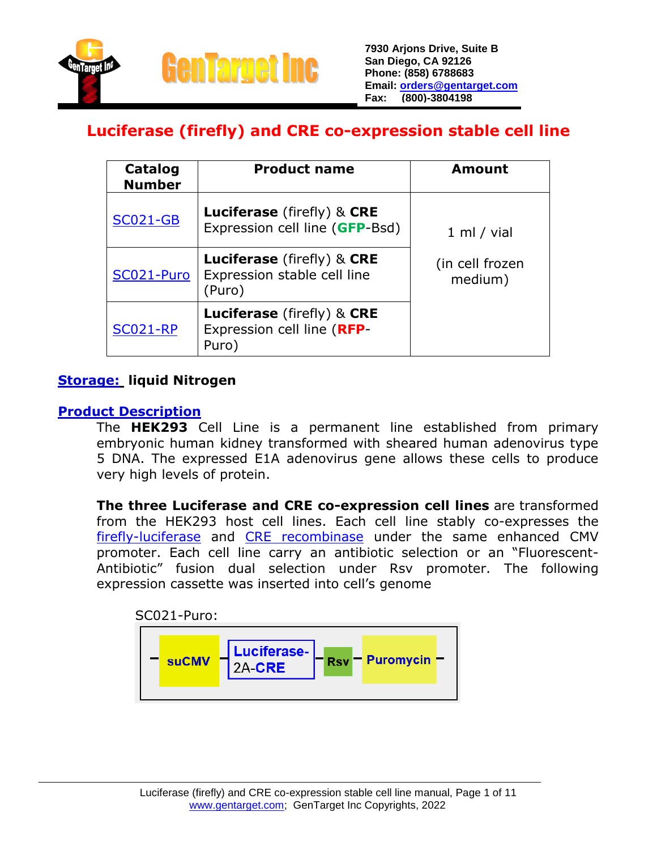

### **Luciferase (firefly) and CRE co-expression stable cell line**

| Catalog<br><b>Number</b> | <b>Product name</b>                                                               | <b>Amount</b>              |
|--------------------------|-----------------------------------------------------------------------------------|----------------------------|
| <b>SC021-GB</b>          | <b>Luciferase</b> (firefly) & <b>CRE</b><br>Expression cell line (GFP-Bsd)        | 1 ml / vial                |
| SC021-Puro               | <b>Luciferase</b> (firefly) & <b>CRE</b><br>Expression stable cell line<br>(Puro) | (in cell frozen<br>medium) |
| <b>SC021-RP</b>          | <b>Luciferase</b> (firefly) & CRE<br>Expression cell line (RFP-<br>Puro)          |                            |

### **Storage: liquid Nitrogen**

### **Product Description**

The **HEK293** Cell Line is a permanent line established from primary embryonic human kidney transformed with sheared human adenovirus type 5 DNA. The expressed E1A adenovirus gene allows these cells to produce very high levels of protein.

**The three Luciferase and CRE co-expression cell lines** are transformed from the HEK293 host cell lines. Each cell line stably co-expresses the [firefly-luciferase](https://www.gentarget.com/pdf/Luc-orf.txt) and [CRE recombinase](https://www.gentarget.com/pdf/CRE-orf.txt) under the same enhanced CMV promoter. Each cell line carry an antibiotic selection or an "Fluorescent-Antibiotic" fusion dual selection under Rsv promoter. The following expression cassette was inserted into cell's genome

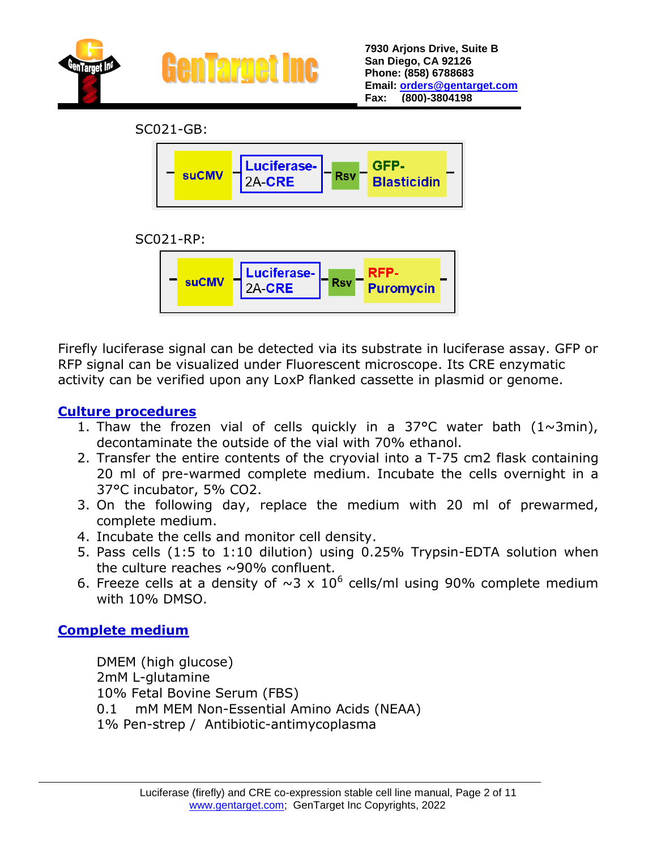

SC021-GB:







Firefly luciferase signal can be detected via its substrate in luciferase assay. GFP or RFP signal can be visualized under Fluorescent microscope. Its CRE enzymatic activity can be verified upon any LoxP flanked cassette in plasmid or genome.

### **Culture procedures**

- 1. Thaw the frozen vial of cells quickly in a 37°C water bath  $(1~\sim 3~\text{min})$ , decontaminate the outside of the vial with 70% ethanol.
- 2. Transfer the entire contents of the cryovial into a T-75 cm2 flask containing 20 ml of pre-warmed complete medium. Incubate the cells overnight in a 37°C incubator, 5% CO2.
- 3. On the following day, replace the medium with 20 ml of prewarmed, complete medium.
- 4. Incubate the cells and monitor cell density.
- 5. Pass cells (1:5 to 1:10 dilution) using 0.25% Trypsin-EDTA solution when the culture reaches  $\sim$ 90% confluent.
- 6. Freeze cells at a density of  $\sim$ 3 x 10<sup>6</sup> cells/ml using 90% complete medium with 10% DMSO.

### **Complete medium**

DMEM (high glucose) 2mM L-glutamine 10% Fetal Bovine Serum (FBS) 0.1 mM MEM Non-Essential Amino Acids (NEAA) 1% Pen-strep / Antibiotic-antimycoplasma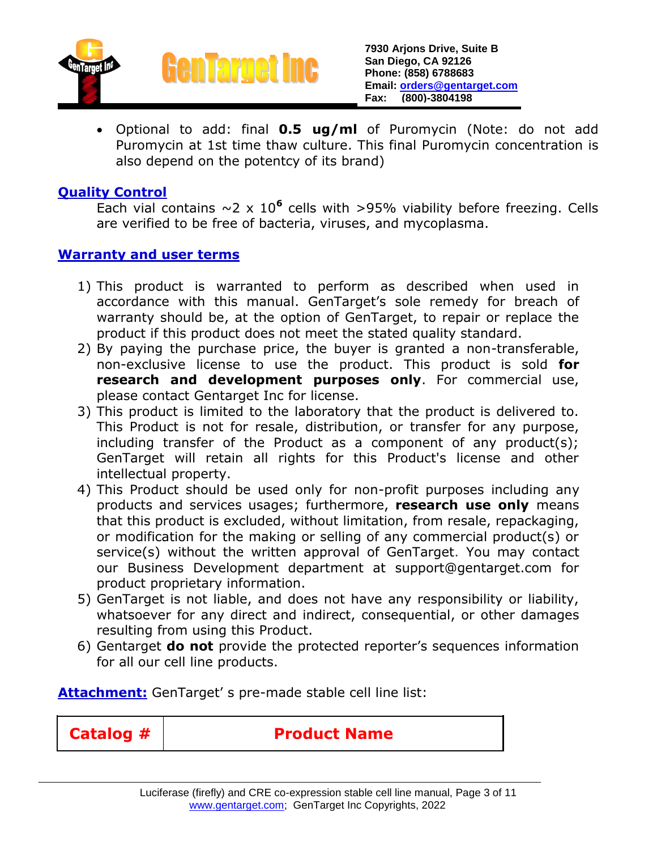



 Optional to add: final **0.5 ug/ml** of Puromycin (Note: do not add Puromycin at 1st time thaw culture. This final Puromycin concentration is also depend on the potentcy of its brand)

### **Quality Control**

Each vial contains  $\sim$  2 x 10<sup>6</sup> cells with >95% viability before freezing. Cells are verified to be free of bacteria, viruses, and mycoplasma.

#### **Warranty and user terms**

- 1) This product is warranted to perform as described when used in accordance with this manual. GenTarget's sole remedy for breach of warranty should be, at the option of GenTarget, to repair or replace the product if this product does not meet the stated quality standard.
- 2) By paying the purchase price, the buyer is granted a non-transferable, non-exclusive license to use the product. This product is sold **for research and development purposes only**. For commercial use, please contact Gentarget Inc for license.
- 3) This product is limited to the laboratory that the product is delivered to. This Product is not for resale, distribution, or transfer for any purpose, including transfer of the Product as a component of any product(s); GenTarget will retain all rights for this Product's license and other intellectual property.
- 4) This Product should be used only for non-profit purposes including any products and services usages; furthermore, **research use only** means that this product is excluded, without limitation, from resale, repackaging, or modification for the making or selling of any commercial product(s) or service(s) without the written approval of GenTarget. You may contact our Business Development department at support@gentarget.com for product proprietary information.
- 5) GenTarget is not liable, and does not have any responsibility or liability, whatsoever for any direct and indirect, consequential, or other damages resulting from using this Product.
- 6) Gentarget **do not** provide the protected reporter's sequences information for all our cell line products.

**Attachment:** GenTarget' s pre-made stable cell line list:

**Catalog # Product Name**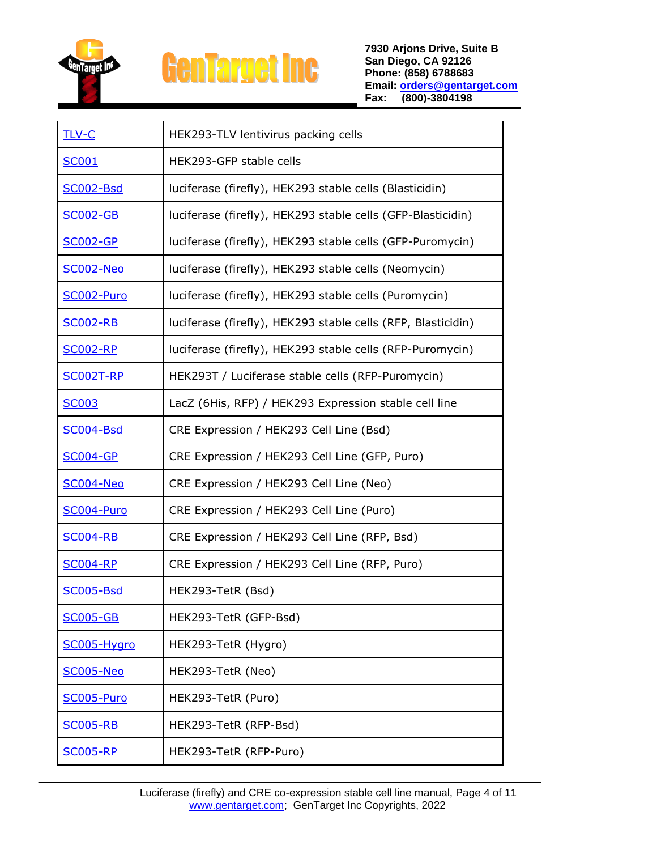

| <b>TLV-C</b>     | HEK293-TLV lentivirus packing cells                          |
|------------------|--------------------------------------------------------------|
| <b>SC001</b>     | HEK293-GFP stable cells                                      |
| SC002-Bsd        | luciferase (firefly), HEK293 stable cells (Blasticidin)      |
| <b>SC002-GB</b>  | luciferase (firefly), HEK293 stable cells (GFP-Blasticidin)  |
| <b>SC002-GP</b>  | luciferase (firefly), HEK293 stable cells (GFP-Puromycin)    |
| <b>SC002-Neo</b> | luciferase (firefly), HEK293 stable cells (Neomycin)         |
| SC002-Puro       | luciferase (firefly), HEK293 stable cells (Puromycin)        |
| <b>SC002-RB</b>  | luciferase (firefly), HEK293 stable cells (RFP, Blasticidin) |
| <b>SC002-RP</b>  | luciferase (firefly), HEK293 stable cells (RFP-Puromycin)    |
| <b>SC002T-RP</b> | HEK293T / Luciferase stable cells (RFP-Puromycin)            |
| <b>SC003</b>     | LacZ (6His, RFP) / HEK293 Expression stable cell line        |
| <b>SC004-Bsd</b> | CRE Expression / HEK293 Cell Line (Bsd)                      |
| <b>SC004-GP</b>  | CRE Expression / HEK293 Cell Line (GFP, Puro)                |
| <b>SC004-Neo</b> | CRE Expression / HEK293 Cell Line (Neo)                      |
| SC004-Puro       | CRE Expression / HEK293 Cell Line (Puro)                     |
| <b>SC004-RB</b>  | CRE Expression / HEK293 Cell Line (RFP, Bsd)                 |
| <b>SC004-RP</b>  | CRE Expression / HEK293 Cell Line (RFP, Puro)                |
| <b>SC005-Bsd</b> | HEK293-TetR (Bsd)                                            |
| <b>SC005-GB</b>  | HEK293-TetR (GFP-Bsd)                                        |
| SC005-Hygro      | HEK293-TetR (Hygro)                                          |
| <b>SC005-Neo</b> | HEK293-TetR (Neo)                                            |
| SC005-Puro       | HEK293-TetR (Puro)                                           |
| <b>SC005-RB</b>  | HEK293-TetR (RFP-Bsd)                                        |
| <u>SC005-RP</u>  | HEK293-TetR (RFP-Puro)                                       |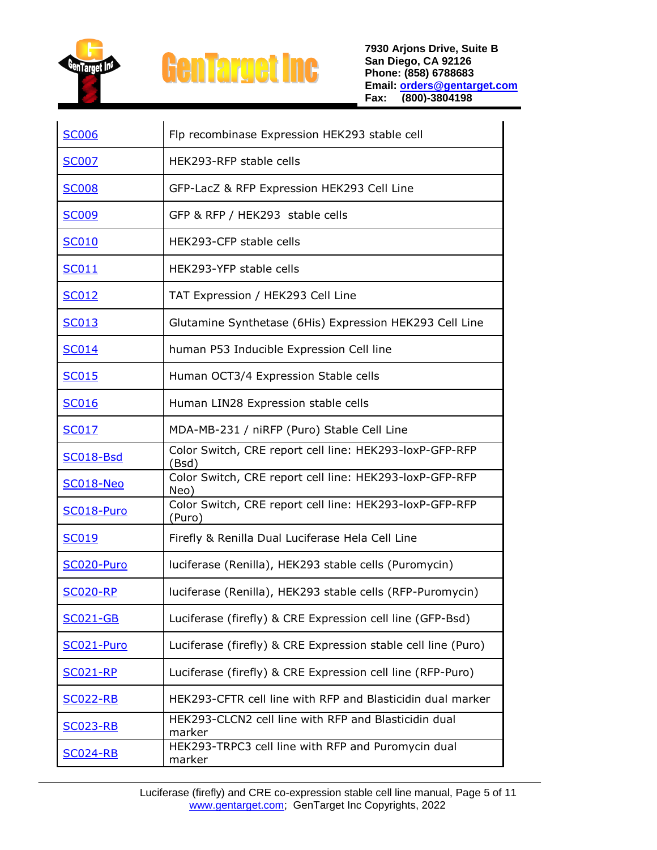

| <b>SC006</b>     | Flp recombinase Expression HEK293 stable cell                     |
|------------------|-------------------------------------------------------------------|
| <b>SC007</b>     | HEK293-RFP stable cells                                           |
| <b>SC008</b>     | GFP-LacZ & RFP Expression HEK293 Cell Line                        |
| <b>SC009</b>     | GFP & RFP / HEK293 stable cells                                   |
| <b>SC010</b>     | HEK293-CFP stable cells                                           |
| SC011            | HEK293-YFP stable cells                                           |
| SC012            | TAT Expression / HEK293 Cell Line                                 |
| <b>SC013</b>     | Glutamine Synthetase (6His) Expression HEK293 Cell Line           |
| SC014            | human P53 Inducible Expression Cell line                          |
| <b>SC015</b>     | Human OCT3/4 Expression Stable cells                              |
| <b>SC016</b>     | Human LIN28 Expression stable cells                               |
| <b>SC017</b>     | MDA-MB-231 / niRFP (Puro) Stable Cell Line                        |
| <b>SC018-Bsd</b> | Color Switch, CRE report cell line: HEK293-loxP-GFP-RFP<br>(Bsd)  |
| SC018-Neo        | Color Switch, CRE report cell line: HEK293-loxP-GFP-RFP<br>Neo)   |
| SC018-Puro       | Color Switch, CRE report cell line: HEK293-loxP-GFP-RFP<br>(Puro) |
| <b>SC019</b>     | Firefly & Renilla Dual Luciferase Hela Cell Line                  |
| SC020-Puro       | luciferase (Renilla), HEK293 stable cells (Puromycin)             |
| <u>SC020-RP</u>  | luciferase (Renilla), HEK293 stable cells (RFP-Puromycin)         |
| <b>SC021-GB</b>  | Luciferase (firefly) & CRE Expression cell line (GFP-Bsd)         |
| SC021-Puro       | Luciferase (firefly) & CRE Expression stable cell line (Puro)     |
| <b>SC021-RP</b>  | Luciferase (firefly) & CRE Expression cell line (RFP-Puro)        |
| <b>SC022-RB</b>  | HEK293-CFTR cell line with RFP and Blasticidin dual marker        |
| <b>SC023-RB</b>  | HEK293-CLCN2 cell line with RFP and Blasticidin dual<br>marker    |
| <b>SC024-RB</b>  | HEK293-TRPC3 cell line with RFP and Puromycin dual<br>marker      |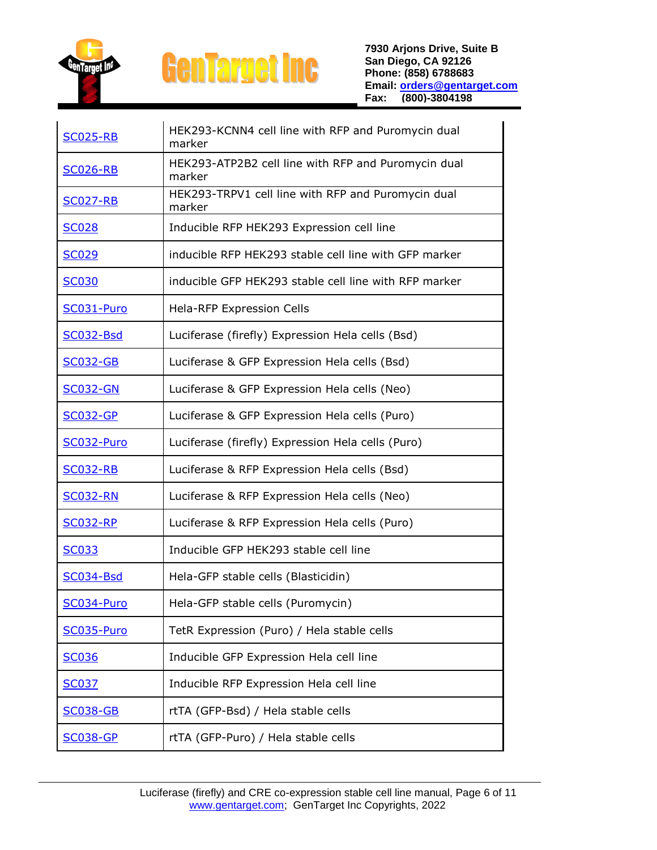

| <b>SC025-RB</b>  | HEK293-KCNN4 cell line with RFP and Puromycin dual<br>marker  |
|------------------|---------------------------------------------------------------|
| <b>SC026-RB</b>  | HEK293-ATP2B2 cell line with RFP and Puromycin dual<br>marker |
| <b>SC027-RB</b>  | HEK293-TRPV1 cell line with RFP and Puromycin dual<br>marker  |
| <b>SC028</b>     | Inducible RFP HEK293 Expression cell line                     |
| <b>SC029</b>     | inducible RFP HEK293 stable cell line with GFP marker         |
| <b>SC030</b>     | inducible GFP HEK293 stable cell line with RFP marker         |
| SC031-Puro       | <b>Hela-RFP Expression Cells</b>                              |
| SC032-Bsd        | Luciferase (firefly) Expression Hela cells (Bsd)              |
| <b>SC032-GB</b>  | Luciferase & GFP Expression Hela cells (Bsd)                  |
| <b>SC032-GN</b>  | Luciferase & GFP Expression Hela cells (Neo)                  |
| <b>SC032-GP</b>  | Luciferase & GFP Expression Hela cells (Puro)                 |
| SC032-Puro       | Luciferase (firefly) Expression Hela cells (Puro)             |
| <b>SC032-RB</b>  | Luciferase & RFP Expression Hela cells (Bsd)                  |
| <b>SC032-RN</b>  | Luciferase & RFP Expression Hela cells (Neo)                  |
| <b>SC032-RP</b>  | Luciferase & RFP Expression Hela cells (Puro)                 |
| <b>SC033</b>     | Inducible GFP HEK293 stable cell line                         |
| <b>SC034-Bsd</b> | Hela-GFP stable cells (Blasticidin)                           |
| SC034-Puro       | Hela-GFP stable cells (Puromycin)                             |
| SC035-Puro       | TetR Expression (Puro) / Hela stable cells                    |
| <b>SC036</b>     | Inducible GFP Expression Hela cell line                       |
| <b>SC037</b>     | Inducible RFP Expression Hela cell line                       |
| <b>SC038-GB</b>  | rtTA (GFP-Bsd) / Hela stable cells                            |
| <b>SC038-GP</b>  | rtTA (GFP-Puro) / Hela stable cells                           |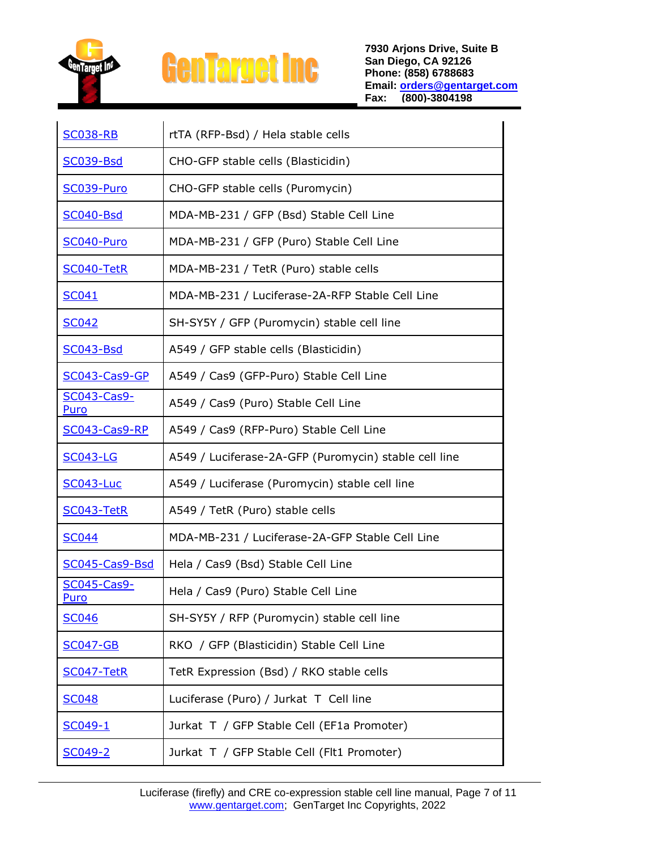

| <b>SC038-RB</b>     | rtTA (RFP-Bsd) / Hela stable cells                    |
|---------------------|-------------------------------------------------------|
| <b>SC039-Bsd</b>    | CHO-GFP stable cells (Blasticidin)                    |
| SC039-Puro          | CHO-GFP stable cells (Puromycin)                      |
| <b>SC040-Bsd</b>    | MDA-MB-231 / GFP (Bsd) Stable Cell Line               |
| SC040-Puro          | MDA-MB-231 / GFP (Puro) Stable Cell Line              |
| SC040-TetR          | MDA-MB-231 / TetR (Puro) stable cells                 |
| SC041               | MDA-MB-231 / Luciferase-2A-RFP Stable Cell Line       |
| <b>SC042</b>        | SH-SY5Y / GFP (Puromycin) stable cell line            |
| <b>SC043-Bsd</b>    | A549 / GFP stable cells (Blasticidin)                 |
| SC043-Cas9-GP       | A549 / Cas9 (GFP-Puro) Stable Cell Line               |
| SC043-Cas9-<br>Puro | A549 / Cas9 (Puro) Stable Cell Line                   |
| SC043-Cas9-RP       | A549 / Cas9 (RFP-Puro) Stable Cell Line               |
|                     |                                                       |
| <b>SC043-LG</b>     | A549 / Luciferase-2A-GFP (Puromycin) stable cell line |
| <b>SC043-Luc</b>    | A549 / Luciferase (Puromycin) stable cell line        |
| SC043-TetR          | A549 / TetR (Puro) stable cells                       |
| <b>SC044</b>        | MDA-MB-231 / Luciferase-2A-GFP Stable Cell Line       |
| SC045-Cas9-Bsd      | Hela / Cas9 (Bsd) Stable Cell Line                    |
| SC045-Cas9-<br>Puro | Hela / Cas9 (Puro) Stable Cell Line                   |
| <b>SC046</b>        | SH-SY5Y / RFP (Puromycin) stable cell line            |
| <b>SC047-GB</b>     | RKO / GFP (Blasticidin) Stable Cell Line              |
| SC047-TetR          | TetR Expression (Bsd) / RKO stable cells              |
| <b>SC048</b>        | Luciferase (Puro) / Jurkat T Cell line                |
| SC049-1             | Jurkat T / GFP Stable Cell (EF1a Promoter)            |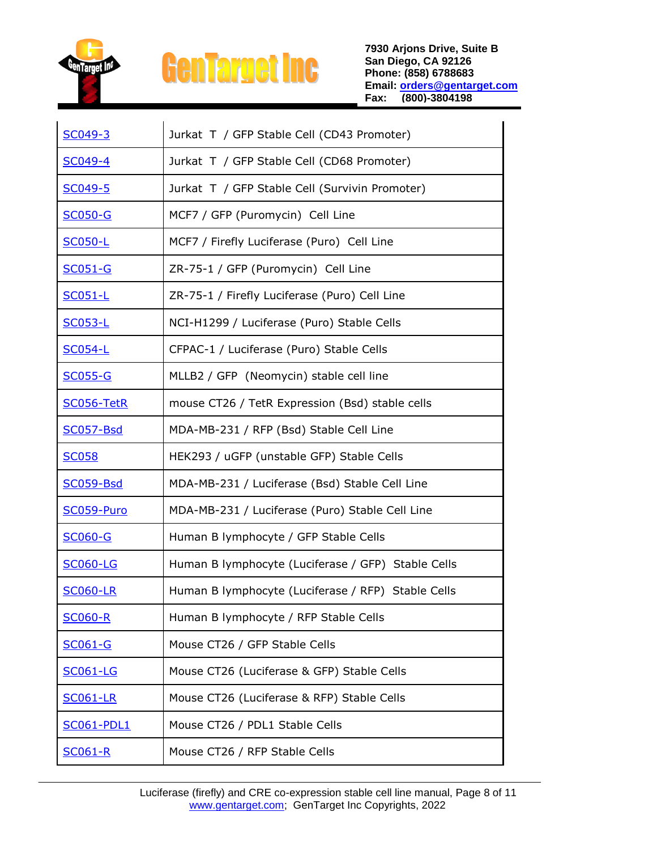

| SC049-3           | Jurkat T / GFP Stable Cell (CD43 Promoter)         |
|-------------------|----------------------------------------------------|
| SC049-4           | Jurkat T / GFP Stable Cell (CD68 Promoter)         |
| SC049-5           | Jurkat T / GFP Stable Cell (Survivin Promoter)     |
| <b>SC050-G</b>    | MCF7 / GFP (Puromycin) Cell Line                   |
| <b>SC050-L</b>    | MCF7 / Firefly Luciferase (Puro) Cell Line         |
| <b>SC051-G</b>    | ZR-75-1 / GFP (Puromycin) Cell Line                |
| <b>SC051-L</b>    | ZR-75-1 / Firefly Luciferase (Puro) Cell Line      |
| <b>SC053-L</b>    | NCI-H1299 / Luciferase (Puro) Stable Cells         |
| <b>SC054-L</b>    | CFPAC-1 / Luciferase (Puro) Stable Cells           |
| <b>SC055-G</b>    | MLLB2 / GFP (Neomycin) stable cell line            |
| SC056-TetR        | mouse CT26 / TetR Expression (Bsd) stable cells    |
| <b>SC057-Bsd</b>  | MDA-MB-231 / RFP (Bsd) Stable Cell Line            |
| <b>SC058</b>      | HEK293 / uGFP (unstable GFP) Stable Cells          |
| <b>SC059-Bsd</b>  | MDA-MB-231 / Luciferase (Bsd) Stable Cell Line     |
| SC059-Puro        | MDA-MB-231 / Luciferase (Puro) Stable Cell Line    |
| <b>SC060-G</b>    | Human B lymphocyte / GFP Stable Cells              |
| <b>SC060-LG</b>   | Human B lymphocyte (Luciferase / GFP) Stable Cells |
| <b>SC060-LR</b>   | Human B lymphocyte (Luciferase / RFP) Stable Cells |
| <b>SC060-R</b>    | Human B lymphocyte / RFP Stable Cells              |
| <b>SC061-G</b>    | Mouse CT26 / GFP Stable Cells                      |
| <b>SC061-LG</b>   | Mouse CT26 (Luciferase & GFP) Stable Cells         |
| <b>SC061-LR</b>   | Mouse CT26 (Luciferase & RFP) Stable Cells         |
| <b>SC061-PDL1</b> | Mouse CT26 / PDL1 Stable Cells                     |
| <b>SC061-R</b>    | Mouse CT26 / RFP Stable Cells                      |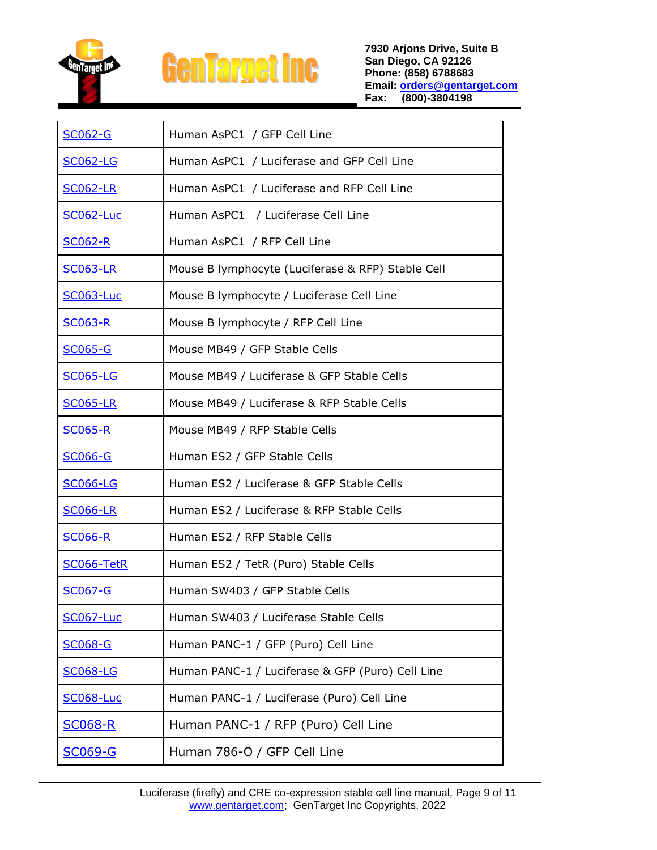

| <b>SC062-G</b>   | Human AsPC1 / GFP Cell Line                       |
|------------------|---------------------------------------------------|
| <b>SC062-LG</b>  | Human AsPC1 / Luciferase and GFP Cell Line        |
| <b>SC062-LR</b>  | Human AsPC1 / Luciferase and RFP Cell Line        |
| <b>SC062-Luc</b> | Human AsPC1 / Luciferase Cell Line                |
| <b>SC062-R</b>   | Human AsPC1 / RFP Cell Line                       |
| <b>SC063-LR</b>  | Mouse B lymphocyte (Luciferase & RFP) Stable Cell |
| <b>SC063-Luc</b> | Mouse B lymphocyte / Luciferase Cell Line         |
| <u>SC063-R</u>   | Mouse B lymphocyte / RFP Cell Line                |
| <u>SC065-G</u>   | Mouse MB49 / GFP Stable Cells                     |
| <b>SC065-LG</b>  | Mouse MB49 / Luciferase & GFP Stable Cells        |
| <b>SC065-LR</b>  | Mouse MB49 / Luciferase & RFP Stable Cells        |
| <b>SC065-R</b>   | Mouse MB49 / RFP Stable Cells                     |
| <b>SC066-G</b>   | Human ES2 / GFP Stable Cells                      |
| <b>SC066-LG</b>  | Human ES2 / Luciferase & GFP Stable Cells         |
| <b>SC066-LR</b>  | Human ES2 / Luciferase & RFP Stable Cells         |
| <u>SC066-R</u>   | Human ES2 / RFP Stable Cells                      |
| SC066-TetR       | Human ES2 / TetR (Puro) Stable Cells              |
| <b>SC067-G</b>   | Human SW403 / GFP Stable Cells                    |
| <b>SC067-Luc</b> | Human SW403 / Luciferase Stable Cells             |
| <b>SC068-G</b>   | Human PANC-1 / GFP (Puro) Cell Line               |
| <b>SC068-LG</b>  | Human PANC-1 / Luciferase & GFP (Puro) Cell Line  |
| <b>SC068-Luc</b> | Human PANC-1 / Luciferase (Puro) Cell Line        |
| <u>SC068-R</u>   | Human PANC-1 / RFP (Puro) Cell Line               |
| <b>SC069-G</b>   | Human 786-O / GFP Cell Line                       |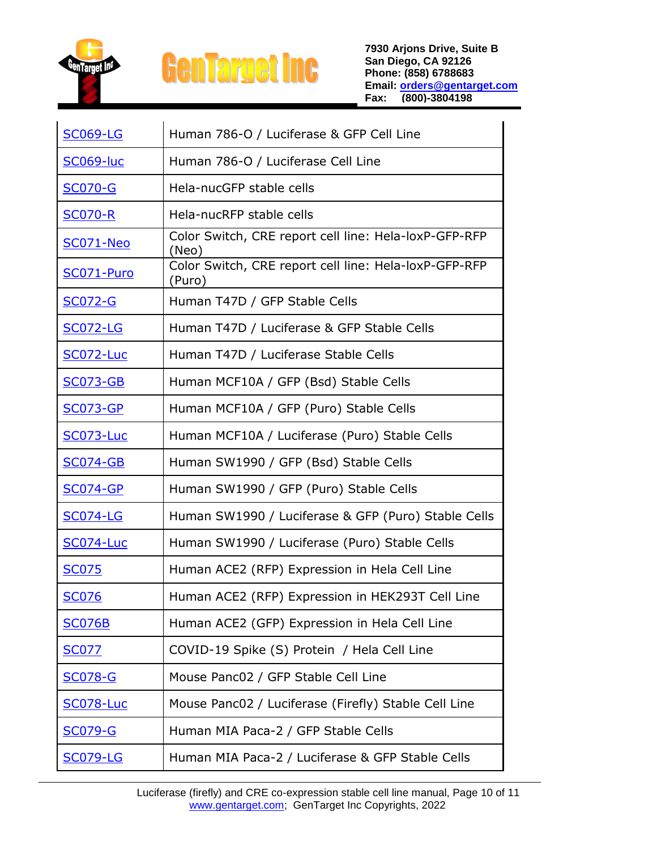

| <b>SC069-LG</b>  | Human 786-O / Luciferase & GFP Cell Line                        |
|------------------|-----------------------------------------------------------------|
| SC069-luc        | Human 786-O / Luciferase Cell Line                              |
| <b>SC070-G</b>   | Hela-nucGFP stable cells                                        |
| <b>SC070-R</b>   | Hela-nucRFP stable cells                                        |
| <b>SC071-Neo</b> | Color Switch, CRE report cell line: Hela-loxP-GFP-RFP<br>(Neo)  |
| SC071-Puro       | Color Switch, CRE report cell line: Hela-loxP-GFP-RFP<br>(Puro) |
| <b>SC072-G</b>   | Human T47D / GFP Stable Cells                                   |
| <b>SC072-LG</b>  | Human T47D / Luciferase & GFP Stable Cells                      |
| <b>SC072-Luc</b> | Human T47D / Luciferase Stable Cells                            |
| <b>SC073-GB</b>  | Human MCF10A / GFP (Bsd) Stable Cells                           |
| <b>SC073-GP</b>  | Human MCF10A / GFP (Puro) Stable Cells                          |
| <b>SC073-Luc</b> | Human MCF10A / Luciferase (Puro) Stable Cells                   |
| <b>SC074-GB</b>  | Human SW1990 / GFP (Bsd) Stable Cells                           |
| <b>SC074-GP</b>  | Human SW1990 / GFP (Puro) Stable Cells                          |
| <b>SC074-LG</b>  | Human SW1990 / Luciferase & GFP (Puro) Stable Cells             |
| <b>SC074-Luc</b> | Human SW1990 / Luciferase (Puro) Stable Cells                   |
| <b>SC075</b>     | Human ACE2 (RFP) Expression in Hela Cell Line                   |
| <b>SC076</b>     | Human ACE2 (RFP) Expression in HEK293T Cell Line                |
| <b>SC076B</b>    | Human ACE2 (GFP) Expression in Hela Cell Line                   |
| <b>SC077</b>     | COVID-19 Spike (S) Protein / Hela Cell Line                     |
| <b>SC078-G</b>   | Mouse Panc02 / GFP Stable Cell Line                             |
| <b>SC078-Luc</b> | Mouse Panc02 / Luciferase (Firefly) Stable Cell Line            |
| <b>SC079-G</b>   | Human MIA Paca-2 / GFP Stable Cells                             |
| <b>SC079-LG</b>  | Human MIA Paca-2 / Luciferase & GFP Stable Cells                |